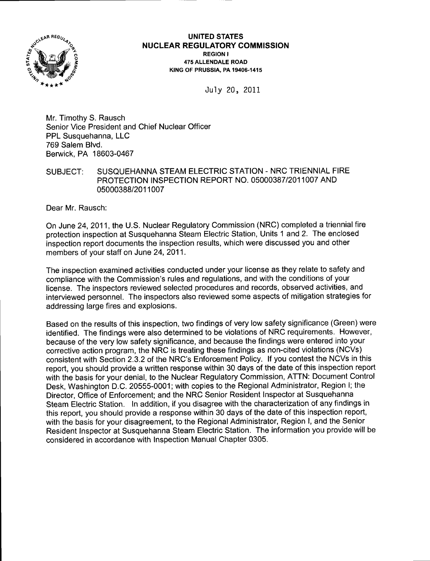

## UNITED STATES <sup>N</sup>UCLEAR REGULATORY COMMISSION REGION I 475 ALLENDALE ROAD K|NG OF PRUSS|A. PA 19406.1415

July 20, 20lL

Mr. Timothy S. Rausch Senior Vice President and Chief Nuclear Officer PPL Susquehanna, LLC 769 Salem Blvd. Berwick, PA 18603-0467

SUBJECT: SUSQUEHANNA STEAM ELECTRIC STATION - NRC TRIENNIAL FIRE PROTECTION INSPECTION REPORT NO. O5OOO387I2O11OO7 AND 05000388/2011007

Dear Mr. Rausch:

On June 24,2011, the U.S. Nuclear Regulatory Commission (NRC) completed a triennial fire protection inspection at Susquehanna Steam Electric Station, Units 1 and 2. The enclosed inspection report documents the inspection results, which were discussed you and other members of your staff on June 24,2011.

The inspection examined activities conducted under your license as they relate to safety and compliance with the Commission's rules and regulations, and with the conditions of your license. The inspectors reviewed selected procedures and records, observed activities, and interviewed personnel. The inspectors also reviewed some aspects of mitigation strategies for addressing large fires and explosions.

Based on the results of this inspection, two findings of very low safety significance (Green) were identified. The findings were also determined to be violations of NRC requirements. However, because of the very low safety significance, and because the findings were entered into your corrective action program, the NRC is treating these findings as non-cited violations (NCVs) consistent with Section 2.3.2 of the NRC's Enforcement Policy. lf you contest the NCVs in this report, you should provide a written response within 30 days of the date of this inspection report with the basis for your denial, to the Nuclear Regulatory Commission, ATTN: Document Control Desk, Washington D.C. 20555-0001; with copies to the Regional Administrator, Region l; the Director, Office of Enforcement; and the NRC Senior Resident Inspector at Susquehanna Steam Electric Station. ln addition, if you disagree with the characterization of any findings in this report, you should provide a response within 30 days of the date of this inspection report, with the basis for your disagreement, to the Regional Administrator, Region I, and the Senior Resident lnspector at Susquehanna Steam Electric Station. The information you provide will be considered in accordance with lnspection Manual Chapter 0305.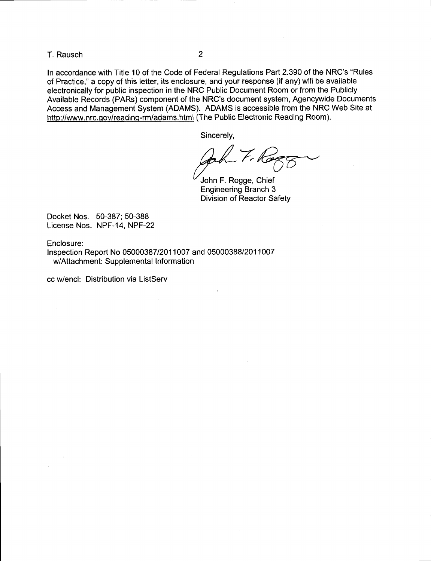T. Rausch <sup>2</sup>

ln accordance with Title 10 of the Code of Federal Regulations Part 2390 of the NRC's "Rules of Practice," a copy of this letter, its enclosure, and your response (if any) will be available electronically for public inspection in the NRC Public Document Room or from the Publicly Available Records (PARs) component of the NRC's document system, Agencywide Documents Access and Management System (ADAMS). ADAMS is accessible from the NRC Web Site at http://www.nfc.qov/reading-rm/adams.html (The Public Electronic Reading Room).

Sincerely,<br> $\omega$   $\overline{r}$   $\overline{r}$ () O

John F. Rogge, Chief Engineering Branch 3 Division of Reactor Safety

Docket Nos. 50-387; 50-388 License Nos. NPF-14, NPF-22

Enclosure:

Inspection Report No 05000387 12011 007 and 05000388/2011007 w/Attachment: Supplemental lnformation

cc w/encl: Distribution via ListServ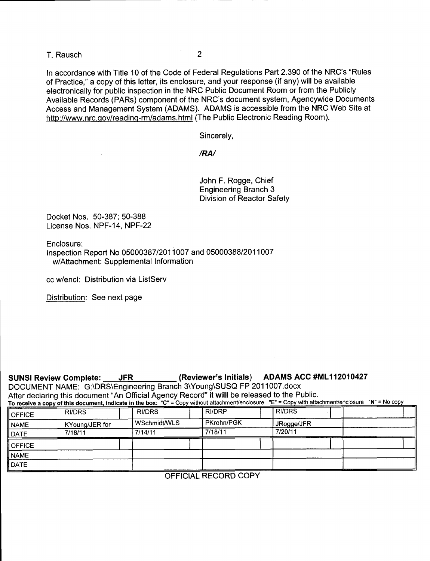T. Rausch <sup>2</sup>

ln accordance with Title 10 of the Code of Federal Regulations Part 2.390 of the NRC's "Rules of Practice," a copy of this letter, its enclosure, and your response (if any) will be available electronically for public inspection in the NRC Public Document Room or from the Publicly Available Records (PARs) component of the NRC's document system, Agencywide Documents Access and Management System (ADAMS). ADAMS is accessible from the NRC Web Site at http://www.nrc.qov/readinq-rm/adams.html (The Public Electronic Reading Room).

Sincerely,

/RN

John F. Rogge, Chief Engineering Branch 3 Division of Reactor Safety

Docket Nos. 50-387; 50-388 License Nos. NPF-14, NPF-22

Enclosure:

lnspection Report No 05000387 12011 007 and 05000388/2011007 w/Attachment: Supplemental Information

cc w/encl: Distribution via ListServ

Distribution: See next page

| (Reviewer's Initials) ADAMS ACC #ML112010427<br>SUNSI Review Complete: ____JFR_____<br>DOCUMENT NAME: G:\DRS\Engineering Branch 3\Young\SUSQ FP 2011007.docx<br>After declaring this document "An Official Agency Record" it will be released to the Public.<br>To receive a copy of this document, indicate in the box: "C" = Copy without attachment/enclosure "E" = Copy with attachment/enclosure "N" = No copy |                |               |  |               |  |               |  |  |  |  |
|---------------------------------------------------------------------------------------------------------------------------------------------------------------------------------------------------------------------------------------------------------------------------------------------------------------------------------------------------------------------------------------------------------------------|----------------|---------------|--|---------------|--|---------------|--|--|--|--|
| <b>OFFICE</b>                                                                                                                                                                                                                                                                                                                                                                                                       | <b>RI/DRS</b>  | <b>RI/DRS</b> |  | <b>RI/DRP</b> |  | <b>RI/DRS</b> |  |  |  |  |
| <b>NAME</b>                                                                                                                                                                                                                                                                                                                                                                                                         | KYoung/JER for | WSchmidt/WLS  |  | PKrohn/PGK    |  | JRogge/JFR    |  |  |  |  |
| DATE                                                                                                                                                                                                                                                                                                                                                                                                                | 7/18/11        | 7/14/11       |  | 7/18/11       |  | 7/20/11       |  |  |  |  |
| <b>OFFICE</b>                                                                                                                                                                                                                                                                                                                                                                                                       |                |               |  |               |  |               |  |  |  |  |
| <b>NAME</b>                                                                                                                                                                                                                                                                                                                                                                                                         |                |               |  |               |  |               |  |  |  |  |
| DATE                                                                                                                                                                                                                                                                                                                                                                                                                |                |               |  |               |  |               |  |  |  |  |

OFFICIAL RECORD COPY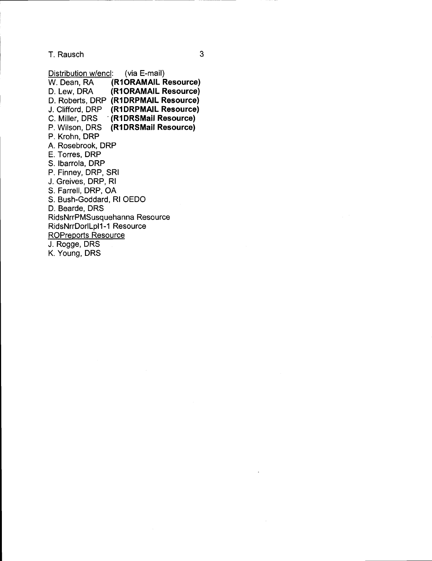T. Rausch

Distribution w/encl: (via E-mail)<br>W. Dean, RA (R1ORAMAIL F W. Dean, RA (R1ORAMAIL Resource)<br>D. Lew, DRA (R1ORAMAIL Resource) (R1ORAMAIL Resource) D. Roberts, DRP (R1DRPMAIL Resource) J. Clifford, DRP (R1DRPMAIL Resource)<br>C. Miller, DRS (R1DRSMail Resource) **C. (R1DRSMail Resource)** P. Wilson, DRS (R1DRSMail Resource) P. Krohn, DRP A. Rosebrook, DRP E. Torres, DRP S. lbarrola, DRP P. Finney, DRP, SRI J. Greives, DRP, Rl S. Farrell, DRP, OA S. Bush-Goddard, Rl OEDO D. Bearde, DRS RidsNrrPMSusquehanna Resource RidsNrrDorlLpl1-1 Resource

ROPreports Resource J. Rogge, DRS

K. Young, DRS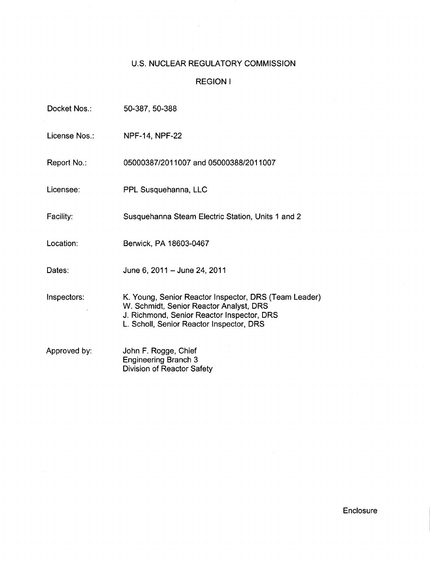# U.S. NUCLEAR REGULATORY COMMISSION

 $\label{eq:2} \frac{1}{\sqrt{2}}\sum_{i=1}^n\frac{1}{\sqrt{2}}\sum_{i=1}^n\frac{1}{\sqrt{2}}\sum_{i=1}^n\frac{1}{\sqrt{2}}\sum_{i=1}^n\frac{1}{\sqrt{2}}\sum_{i=1}^n\frac{1}{\sqrt{2}}\sum_{i=1}^n\frac{1}{\sqrt{2}}\sum_{i=1}^n\frac{1}{\sqrt{2}}\sum_{i=1}^n\frac{1}{\sqrt{2}}\sum_{i=1}^n\frac{1}{\sqrt{2}}\sum_{i=1}^n\frac{1}{\sqrt{2}}\sum_{i=1}^n\frac{1$ 

## REGION <sup>I</sup>

| Docket Nos.:  | 50-387, 50-388                                                                                                                                                                             |  |  |  |  |
|---------------|--------------------------------------------------------------------------------------------------------------------------------------------------------------------------------------------|--|--|--|--|
| License Nos.: | <b>NPF-14, NPF-22</b>                                                                                                                                                                      |  |  |  |  |
| Report No.:   | 05000387/2011007 and 05000388/2011007                                                                                                                                                      |  |  |  |  |
| Licensee:     | PPL Susquehanna, LLC                                                                                                                                                                       |  |  |  |  |
| Facility:     | Susquehanna Steam Electric Station, Units 1 and 2                                                                                                                                          |  |  |  |  |
| Location:     | Berwick, PA 18603-0467                                                                                                                                                                     |  |  |  |  |
| Dates:        | June 6, 2011 - June 24, 2011                                                                                                                                                               |  |  |  |  |
| Inspectors:   | K. Young, Senior Reactor Inspector, DRS (Team Leader)<br>W. Schmidt, Senior Reactor Analyst, DRS<br>J. Richmond, Senior Reactor Inspector, DRS<br>L. Scholl, Senior Reactor Inspector, DRS |  |  |  |  |
| Approved by:  | John F. Rogge, Chief<br><b>Engineering Branch 3</b><br>Division of Reactor Safety                                                                                                          |  |  |  |  |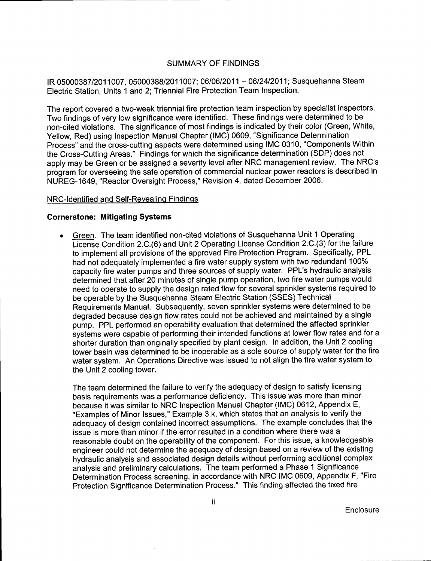## SUMMARY OF FINDINGS

IR 05000387/2011007, 05000388/2011007; 06/06/2011 - 06/24/2011; Susquehanna Steam Electric Station, Units 1 and 2; Triennial Fire Protection Team lnspection.

The report covered a two-week triennial fire protection team inspection by specialist inspectors. Two findings of very low significance were identified. These findings were determined to be non-cited violations. The significance of most findings is indicated by their color (Green, White, Yellow, Red) using Inspection Manual Chapter (lMC) 0609, "Significance Determination Process" and the cross-cutting aspects were determined using IMC 0310, "Components Within the Cross-Cutting Areas." Findings for which the significance determination (SDP) does not apply may be Green or be assigned a severity level after NRC management review. The NRC's program for overseeing the safe operation of commercial nuclear power reactors is described in NUREG-1649, "Reactor Oversight Process," Revision 4, dated December 2006.

### NRC-ldentified and Self-Revealinq Findinqs

#### Cornerstone: Mitigating Systems

. Green. The team identified non-cited violations of Susquehanna Unit 1 Operating License Condition 2.C.(6) and Unit 2 Operating License Condition 2.C.(3) for the failure to implement all provisions of the approved Fire Protection Program. Specifically, PPL had not adequately implemented a fire water supply system with two redundant 100% capacity fire water pumps and three sources of supply water. PPL's hydraulic analysis determined that after 20 minutes of single pump operation, two fire water pumps would need to operate to supply the design rated flow for several sprinkler systems required to be operable by the Susquehanna Steam Electric Station (SSES) Technical Requirements Manual. Subsequently, seven sprinkler systems were determined to be degraded because design flow rates could not be achieved and maintained by a single pump. PPL performed an operability evaluation that determined the affected sprinkler systems were capable of performing their intended functions at lower flow rates and for <sup>a</sup> shorter duration than originally specified by plant design. In addition, the Unit 2 cooling tower basin was determined to be inoperable as a sole source of supply water for the fire water system. An Operations Directive was issued to not align the fire water system to the Unit 2 cooling tower.

The team determined the failure to verify the adequacy of design to satisfy licensing basis requirements was a performance deficiency. This issue was more than minor because it was similar to NRC Inspection Manual Chapter (lMC) 0612, Appendix E, "Examples of Minor lssues," Example 3.k, which states that an analysis to verify the adequacy of design contained incorrect assumptions. The example concludes that the issue is more than minor if the error resulted in a condition where there was a reasonable doubt on the operability of the component. For this issue, a knowledgeable engineer could not determine the adequacy of design based on a review of the existing hydraulic analysis and associated design details without performing additional complex analysis and preliminary calculations. The team performed a Phase 1 Significance Determination Process screening, in accordance with NRC IMC 0609, Appendix F, "Fire Protection Significance Determination Process." This finding affected the fixed fire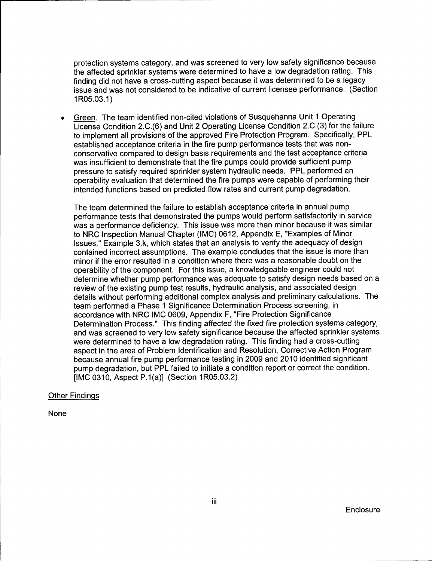protection systems category, and was screened to very low safety significance because the affected sprinkler systems were determined to have a low degradation rating. This finding did not have a cross-cutting aspect because it was determined to be a legacy issue and was not considered to be indicative of current licensee performance. (Section 1R05.03.1)

Green. The team identified non-cited violations of Susquehanna Unit 1 Operating License Condition 2.C.(6) and Unit 2 Operating License Condition 2.C.(3) for the failure to implement all provisions of the approved Fire Protection Program. Specifically, PPL established acceptance criteria in the fire pump performance tests that was nonconservative compared to design basis requirements and the test acceptance criteria was insufficient to demonstrate that the fire pumps could provide sufficient pump pressure to satisfy required sprinkler system hydraulic needs. PPL performed an operability evaluation that determined the fire pumps were capable of performing their intended functions based on predicted flow rates and current pump degradation.

The team determined the failure to establish acceptance criteria in annual pump performance tests that demonstrated the pumps would perform satisfactorily in service was a performance deficiency. This issue was more than minor because it was similar to NRC Inspection Manual Chapter (lMC) 0612, Appendix E, "Examples of Minor lssues," Example 3.k, which states that an analysis to verify the adequacy of design contained incorrect assumptions. The example concludes that the issue is more than minor if the error resulted in a condition where there was a reasonable doubt on the operability of the component. For this issue, a knowledgeable engineer could not determine whether pump performance was adequate to satisfy design needs based on a review of the existing pump test results, hydraulic analysis, and associated design details without performing additional complex analysis and preliminary calculations. The team performed a Phase 1 Significance Determination Process screening, in accordance with NRC IMC 0609, Appendix F, "Fire Protection Significance Determination Process." This finding affected the fixed fire protection systems category, and was screened to very low safety significance because the affected sprinkler systems were determined to have a low degradation rating. This finding had a cross-cutting aspect in the area of Problem ldentification and Resolution, Corrective Action Program because annual fire pump performance testing in 2009 and 2010 identified significant pump degradation, but PPL failed to initiate a condition report or correct the condition. llMC 0310, Aspect P.1(a)l (Section 1R05.03.2)

### Other Findinqs

None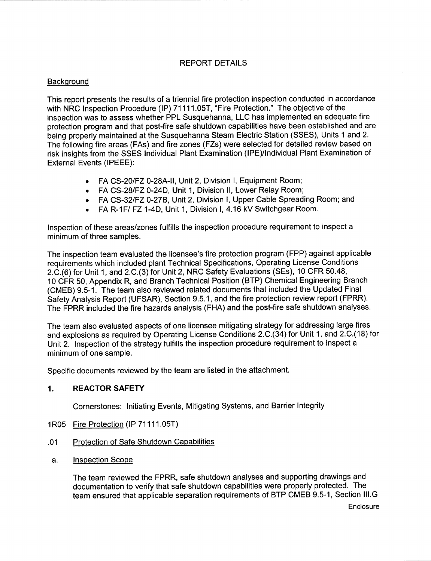## REPORT DETAILS

## **Background**

This report presents the results of a triennial fire protection inspection conducted in accordance with NRC Inspection Procedure (IP) 71111.05T, "Fire Protection." The objective of the inspection was to assess whether PPL Susquehanna, LLC has implemented an adequate fire protection program and that post-fire safe shutdown capabilities have been established and are being properly maintained at the Susquehanna Steam Electric Station (SSES), Units 1 and 2. The following fire areas (FAs) and fire zones (FZs) were selected for detailed review based on risk insights from the SSES lndividual Plant Examination (lPE)/lndividual Plant Examination of External Events (IPEEE):

- FA CS-20/FZ 0-28A-II, Unit 2, Division I, Equipment Room;
- FA CS-28/FZ 0-24D, Unit 1, Division II, Lower Relay Room;
- FA CS-32/FZ 0-27B, Unit 2, Division I, Upper Cable Spreading Room; and
- . FA R-1F/ FZ 1-4D, Unit 1, Division l, 4.16 kV Switchgear Room.

Inspection of these areas/zones fulfills the inspection procedure requirement to inspect a minimum of three samples.

The inspection team evaluated the licensee's fire protection program (FPP) against applicable requirements which included plant Technical Specifications, Operating License Conditions 2.C.(6) for Unit 1, and 2.C.(3) for Unit 2, NRC Safety Evaluations (SEs), 10 CFR 50.48, 10 CFR 50, Appendix R, and Branch Technical Position (BTP) Chemical Engineering Branch (CMEB) 9.5-1. The team also reviewed related documents that included the Updated Final Safety Analysis Report (UFSAR), Section 9.5.1, and the fire protection review report (FPRR). The FPRR included the fire hazards analysis (FHA) and the post-fire safe shutdown analyses.

The team also evaluated aspects of one licensee mitigating strategy for addressing large fires and explosions as required by Operating License Conditions 2.C.(34) for Unit 1, and 2.C.(18) for Unit 2. lnspection of the strategy fulfills the inspection procedure requirement to inspect <sup>a</sup> minimum of one sample.

Specific documents reviewed by the team are listed in the attachment.

## 1. REACTOR SAFETY

Cornerstones: lnitiating Events, Mitigating Systems, and Barrier Integrity

- 1R05 Fire Protection (IP 71111.05T)
- .01 Protection of Safe Shutdown Capabilities
- a. Inspection Scope

The team reviewed the FPRR, safe shutdown analyses and supporting drawings and documentation to verify that safe shutdown capabilities were properly protected. The team ensured that applicable separation requirements of BTP CMEB 9.5-1, Section lll.G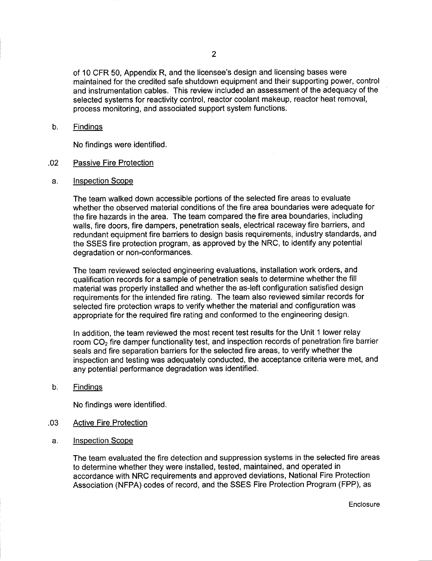of 10 CFR 50, Appendix R, and the licensee's design and licensing bases were maintained for the credited safe shutdown equipment and their supporting power, control and instrumentation cables. This review included an assessment of the adequacy of the selected systems for reactivity control, reactor coolant makeup, reactor heat removal, process monitoring, and associated support system functions.

#### b. Findinqs

No findings were identified.

### .02 Passive Fire Protection

a. lnspection Scope

The team walked down accessible portions of the selected fire areas to evaluate whether the observed material conditions of the fire area boundaries were adequate for the fire hazards in the area. The team compared the fire area boundaries, including walls, fire doors, fire dampers, penetration seals, electrical raceway fire barriers, and redundant equipment fire barriers to design basis requirements, industry standards, and the SSES fire protection program, as approved by the NRC, to identify any potential degradation or non-conformances.

The team reviewed selected engineering evaluations, installation work orders, and qualification records for a sample of penetration seals to determine whether the fill material was properly installed and whether the as-left configuration satisfied design requirements for the intended fire rating. The team also reviewed similar records for selected fire protection wraps to verify whether the material and configuration was appropriate for the required fire rating and conformed to the engineering design.

In addition, the team reviewed the most recent test results for the Unit 1 lower relay room CO<sub>2</sub> fire damper functionality test, and inspection records of penetration fire barrier seals and fire separation barriers for the selected fire areas, to verify whether the inspection and testing was adequately conducted, the acceptance criteria were met, and any potential performance degradation was identified.

b. Findings

No findings were identified.

- .03 Active Fire Protection
- a. Inspection Scope

The team evaluated the fire detection and suppression systems in the selected fire areas to determine whether they were installed, tested, maintained, and operated in accordance with NRC requirements and approved deviations, National Fire Protection Association (NFPA) codes of record, and the SSES Fire Protection Program (FPP), as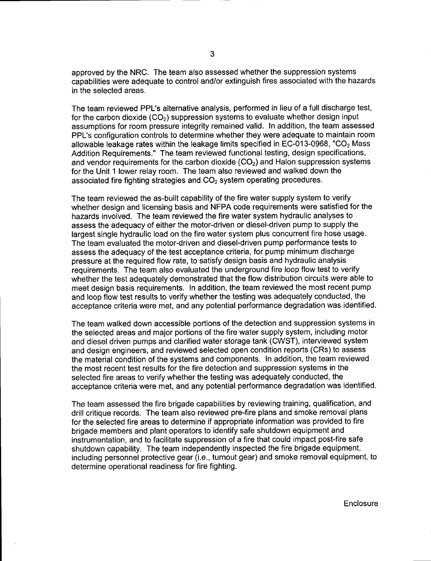approved by the NRC. The team also assessed whether the suppression systems capabilities were adequate to control and/or extinguish fires associated with the hazards in the selected areas.

The team reviewed PPL's alternative analysis, performed in lieu of a full discharge test, for the carbon dioxide  $(CO<sub>2</sub>)$  suppression systems to evaluate whether design input assumptions for room pressure integrity remained valid. ln addition, the team assessed PPL's configuration controls to determine whether they were adequate to maintain room allowable leakage rates within the leakage limits specified in EC-013-0968, "CO<sub>2</sub> Mass Addition Requirements." The team reviewed functional testing, design specifications, and vendor requirements for the carbon dioxide  $(CO<sub>2</sub>)$  and Halon suppression systems for the Unit 1 lower relay room. The team also reviewed and walked down the associated fire fighting strategies and  $CO<sub>2</sub>$  system operating procedures.

The team reviewed the as-built capability of the fire water supply system to verify whether design and licensing basis and NFPA code requirements were satisfied for the hazards involved. The team reviewed the fire water system hydraulic analyses to assess the adequacy of either the motor-driven or diesel-driven pump to supply the largest single hydraulic load on the fire water system plus concurrent fire hose usage. The team evaluated the motor-driven and diesel-driven pump performance tests to assess the adequacy of the test acceptance criteria, for pump minimum discharge pressure at the required flow rate, to satisfy design basis and hydraulic analysis requirements. The team also evaluated the underground fire loop flow test to verify whether the test adequately demonstrated that the flow distribution circuits were able to meet design basis requirements. In addition, the team reviewed the most recent pump and loop flow test results to verify whether the testing was adequately conducted, the acceptance criteria were met, and any potential performance degradation was identified.

The team walked down accessible portions of the detection and suppression systems in the selected areas and major portions of the fire water supply system, including motor and diesel driven pumps and clarified water storage tank (CWST), interviewed system and design engineers, and reviewed selected open condition reports (CRs) to assess the material condition of the systems and components. In addition, the team reviewed the most recent test results for the fire detection and suppression systems in the selected fire areas to verify whether the testing was adequately conducted, the acceptance criteria were met, and any potential performance degradation was identified.

The team assessed the fire brigade capabilities by reviewing training, qualification, and drill critique records. The team also reviewed pre-fire plans and smoke removal plans for the selected fire areas to determine if appropriate information was provided to fire brigade members and plant operators to identify safe shutdown equipment and instrumentation, and to facilitate suppression of a fire that could impact post-fire safe shutdown capability. The team independently inspected the fire brigade equipment, including personnel protective gear (i.e., turnout gear) and smoke removal equipment, to determine operational readiness for fire fighting.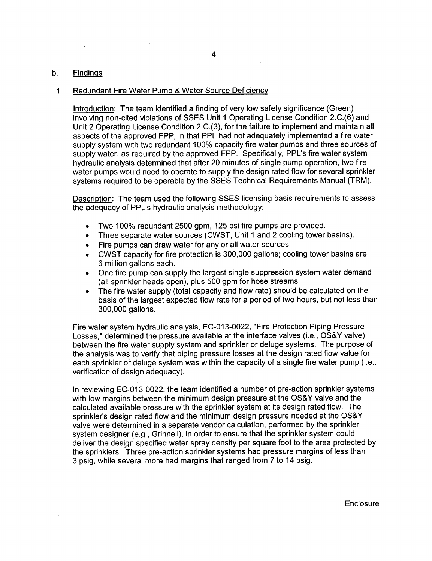#### b. Findinqs

#### .1 Redundant Fire Water Pump & Water Source Deficiency

Introduction: The team identified a finding of very low safety significance (Green) involving non-cited violations of SSES Unit 1 Operating License Condition 2.C.(6) and Unit 2 Operating License Condition 2.C.(3), for the failure to implement and maintain all aspects of the approved FPP, in that PPL had not adequately implemented a fire water supply system with two redundant 100% capacity fire water pumps and three sources of supply water, as required by the approved FPP. Specifically, PPL's fire water system hydraulic analysis determined that after 20 minutes of single pump operation, two fire water pumps would need to operate to supply the design rated flow for several sprinkler systems required to be operable by the SSES Technical Requirements Manual (TRM).

Description: The team used the following SSES licensing basis requirements to assess the adequacy of PPL's hydraulic analysis methodology:

- . Two 100% redundant 2500 gpm, 125 psifire pumps are provided.
- . Three separate water sources (CWST, Unit 1 and 2 cooling tower basins).
- . Fire pumps can draw water for any or all water sources.
- . CWST capacity for fire protection is 300,000 gallons; cooling tower basins are 6 million gallons each.
- . One fire pump can supply the largest single suppression system water demand (all sprinkler heads open), plus 500 gpm for hose streams.
- The fire water supply (total capacity and flow rate) should be calculated on the basis of the largest expected flow rate for a period of two hours, but not less than 300,000 gallons.

Fire water system hydraulic analysis, EC-O13-0022, "Fire Protection Piping Pressure Losses," determined the pressure available at the interface valves (i.e., OS&Y valve) between the fire water supply system and sprinkler or deluge systems. The purpose of the analysis was to verify that piping pressure losses at the design rated flow value for each sprinkler or deluge system was within the capacity of a single fire water pump (i.e., verification of design adequacy).

<sup>f</sup>n reviewing EC-O13-0Q22, the team identified a number of pre-action sprinkler systems with low margins between the minimum design pressure at the OS&Y valve and the calculated available pressure with the sprinkler system at its design rated flow. The sprinkler's design rated flow and the minimum design pressure needed at the OS&Y valve were determined in a separate vendor calculation, performed by the sprinkler system designer (e.9., Grinnell), in order to ensure that the sprinkler system could deliver the design specified water spray density per square foot to the area protected by the sprinklers. Three pre-action sprinkler systems had pressure margins of less than 3 psig, while several more had margins that ranged trom 7 to 14 psig.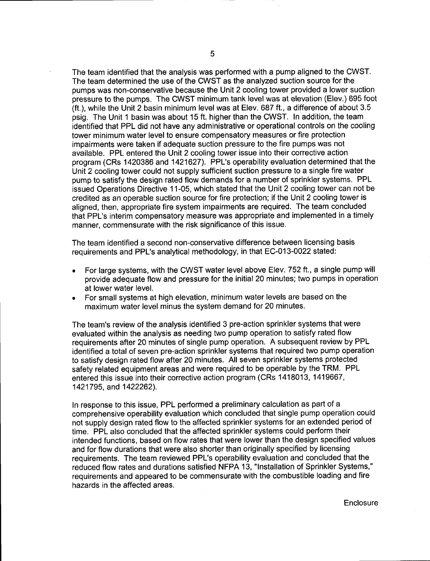The team identified that the analysis was performed with a pump aligned to the CWST. The team determined the use of the CWST as the analyzed suction source for the pumps was non-conservative because the Unit 2 cooling tower provided a lower suction pressure to the pumps. The CWST minimum tank level was at elevation (Elev.) 695 foot (ft.), while the Unit 2 basin minimum level was at Elev. 687 ft., a difference of about 3.5 psig. The Unit 1 basin was about 15 ft. higher than the CWST. In addition, the team identified that PPL did not have any administrative or operational controls on the cooling tower minimum water level to ensure compensatory measures or fire protection impairments were taken if adequate suction pressure to the fire pumps was not available. PPL entered the Unit 2 cooling tower issue into their corrective action program (CRs 1420386 and 1421627). PPL's operability evaluation determined that the Unit 2 cooling tower could not supply sufficient suction pressure to a single fire water pump to satisfy the design rated flow demands for a number of sprinkler systems. PPL issued Operations Directive 11-05, which stated that the Unit 2 cooling tower can not be credited as an operable suction source for fire protection; if the Unit 2 cooling tower is aligned, then, appropriate fire system impairments are required. The team concluded that PPL's interim compensatory measure was appropriate and implemented in a timely manner, commensurate with the risk significance of this issue.

The team identified a second non-conservative difference between licensing basis requirements and PPL's analytical methodology, in that EC-O13-0022 stated:

- . For large systems, with the CWST water level above Elev.752 ft., a single pump will provide adequate flow and pressure for the initial 20 minutes; two pumps in operation at lower water level.
- . For small systems at high elevation, minimum water levels are based on the maximum water level minus the system demand for 20 minutes.

The team's review of the analysis identified 3 pre-action sprinkler systems that were evaluated within the analysis as needing two pump operation to satisfy rated flow requirements after 20 minutes of single pump operation. A subsequent review by PPL identified a total of seven pre-action sprinkler systems that required two pump operation to satisfy design rated flow after 20 minutes. All seven sprinkler systems protected safety related equipment areas and were required to be operable by the TRM. PPL entered this issue into their corrective action program (CRs 1418013, 1419667 , 1421795, and 1422262),

In response to this issue, PPL performed a preliminary calculation as part of a comprehensive operability evaluation which concluded that single pump operation could not supply design rated flow to the affected sprinkler systems for an extended period of time. PPL also concluded that the affected sprinkler systems could perform their intended functions, based on flow rates that were lower than the design specified values and for flow durations that were also shorter than originally specified by licensing requirements. The team reviewed PPL's operability evaluation and concluded that the reduced flow rates and durations satisfied NFPA 13, "lnstallation of Sprinkler Systems," requirements and appeared to be commensurate with the combustible loading and fire hazards in the affected areas.